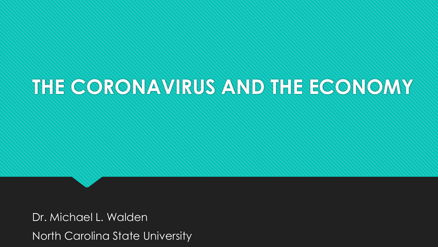# **THE CORONAVIRUS AND THE ECONOMY**

Dr. Michael L. Walden North Carolina State University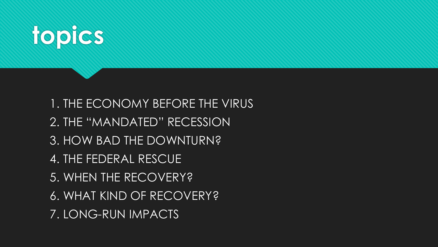

1. THE ECONOMY BEFORE THE VIRUS 2. THE "MANDATED" RECESSION 3. HOW BAD THE DOWNTURN? 4. THE FEDERAL RESCUE 5. WHEN THE RECOVERY? 6. WHAT KIND OF RECOVERY? 7. LONG-RUN IMPACTS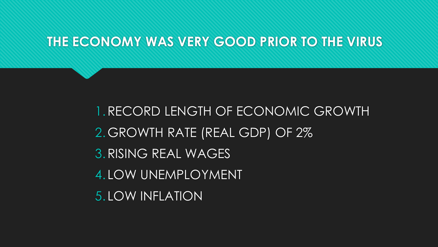### **THE ECONOMY WAS VERY GOOD PRIOR TO THE VIRUS**

1.RECORD LENGTH OF ECONOMIC GROWTH 2.GROWTH RATE (REAL GDP) OF 2% 3.RISING REAL WAGES 4. LOW UNEMPLOYMENT 5. LOW INFLATION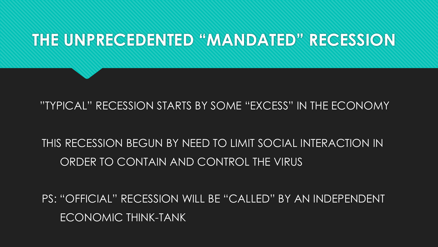## **THE UNPRECEDENTED "MANDATED" RECESSION**

#### "TYPICAL" RECESSION STARTS BY SOME "EXCESS" IN THE ECONOMY

### THIS RECESSION BEGUN BY NEED TO LIMIT SOCIAL INTERACTION IN ORDER TO CONTAIN AND CONTROL THE VIRUS

PS: "OFFICIAL" RECESSION WILL BE "CALLED" BY AN INDEPENDENT ECONOMIC THINK-TANK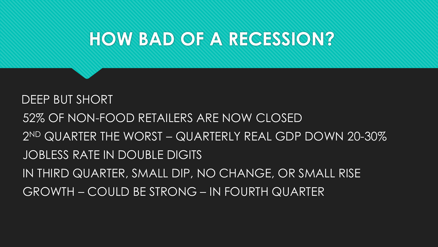DEEP BUT SHORT 52% OF NON-FOOD RETAILERS ARE NOW CLOSED 2 ND QUARTER THE WORST – QUARTERLY REAL GDP DOWN 20-30% JOBLESS RATE IN DOUBLE DIGITS IN THIRD QUARTER, SMALL DIP, NO CHANGE, OR SMALL RISE GROWTH – COULD BE STRONG – IN FOURTH QUARTER

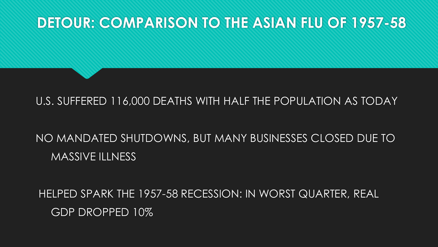### **DETOUR: COMPARISON TO THE ASIAN FLU OF 1957-58**

#### U.S. SUFFERED 116,000 DEATHS WITH HALF THE POPULATION AS TODAY

### NO MANDATED SHUTDOWNS, BUT MANY BUSINESSES CLOSED DUE TO MASSIVE ILLNESS

HELPED SPARK THE 1957-58 RECESSION: IN WORST QUARTER, REAL GDP DROPPED 10%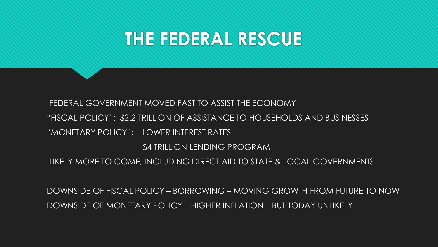## **THE FEDERAL RESCUE**

FEDERAL GOVERNMENT MOVED FAST TO ASSIST THE ECONOMY "FISCAL POLICY": \$2.2 TRILLION OF ASSISTANCE TO HOUSEHOLDS AND BUSINESSES "MONETARY POLICY": LOWER INTEREST RATES \$4 TRILLION LENDING PROGRAM LIKELY MORE TO COME, INCLUDING DIRECT AID TO STATE & LOCAL GOVERNMENTS

DOWNSIDE OF FISCAL POLICY – BORROWING – MOVING GROWTH FROM FUTURE TO NOW DOWNSIDE OF MONETARY POLICY – HIGHER INFLATION – BUT TODAY UNLIKELY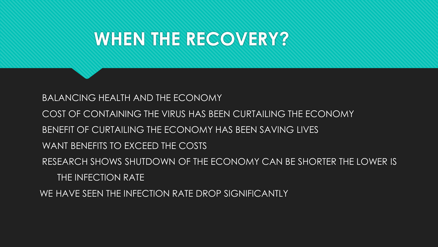## **WHEN THE RECOVERY?**

BALANCING HEALTH AND THE ECONOMY

- COST OF CONTAINING THE VIRUS HAS BEEN CURTAILING THE ECONOMY
- BENEFIT OF CURTAILING THE ECONOMY HAS BEEN SAVING LIVES
- WANT BENEFITS TO EXCEED THE COSTS
- RESEARCH SHOWS SHUTDOWN OF THE ECONOMY CAN BE SHORTER THE LOWER IS THE INFECTION RATE
- WE HAVE SEEN THE INFECTION RATE DROP SIGNIFICANTLY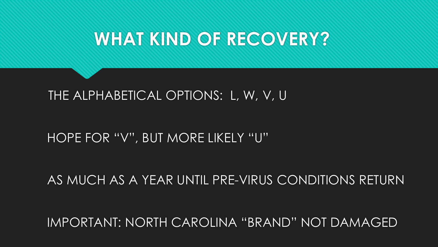## **WHAT KIND OF RECOVERY?**

### THE ALPHABETICAL OPTIONS: L, W, V, U

### HOPE FOR "V", BUT MORE LIKELY "U"

#### AS MUCH AS A YEAR UNTIL PRE-VIRUS CONDITIONS RETURN

IMPORTANT: NORTH CAROLINA "BRAND" NOT DAMAGED